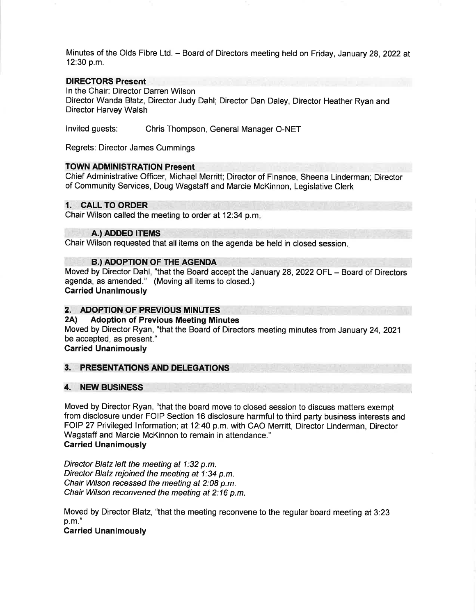Minutes of the Olds Fibre Ltd. - Board of Directors meeting held on Friday, January 28, 2022 at 12:30 p.m.

# DIRECTORS Present

ln the Chair: Director Darren Wilson

Director Wanda Blatz, Director Judy Dahl; Director Dan Daley, Director Heather Ryan and Director Harvey Walsh

lnvited guests: Chris Thompson, General Manager O-NET

Regrets: Director James Cummings

# TOWN ADMINISTRATION Present

Chief Administrative Officer, Michael Merritt; Director of Finance, Sheena Linderman; Director of Community Services, Doug Wagstaff and Marcie McKinnon, Legislative Clerk

# 1. CALL TO ORDER

Chair Wilson called the meeting to order at 12:34 p.m

### A.) ADDED ITEMS

Chair Wilson requested that all items on the agenda be held in closed session

## **B.) ADOPTION OF THE AGENDA**

Moved by Director Dahl, "that the Board accept the January 28,2022 OFL - Board of Directors agenda, as amended." (Moving all items to closed.) Carried Unanimously

# 2. ADOPTION OF PREVIOUS MINUTES<br>2A) Adoption of Previous Meeting Minutes

Moved by Director Ryan, "that the Board of Directors meeting minutes from January 24,2021 be accepted, as present."

Garried Unanimously

# 3. PRESENTATIONS AND DELEGATIONS

## 4. NEW BUSINESS

Moved by Director Ryan, "that the board move to closed session to discuss matters exempt from disclosure under FOIP Section 16 disclosure harmful to third party business interests and FOIP 27 Privileged lnformation; at 12:40 p.m. with CAO Merritt, Director Linderman, Director Wagstaff and Marcie McKinnon to remain in attendance." Carried Unanimously

Director Blatz left the meeting at 1:32 p.m. Director Blatz rejoined the meeting at 1:34 p.m. Chair Wilson recessed the meeting at 2:08 p.m. Chair Wilson reconvened the meeting at 2:16 p.m.

Moved by Director Blatz, "that the meeting reconvene to the regular board meeting at 3:23 p.m."

Carried Unanimously